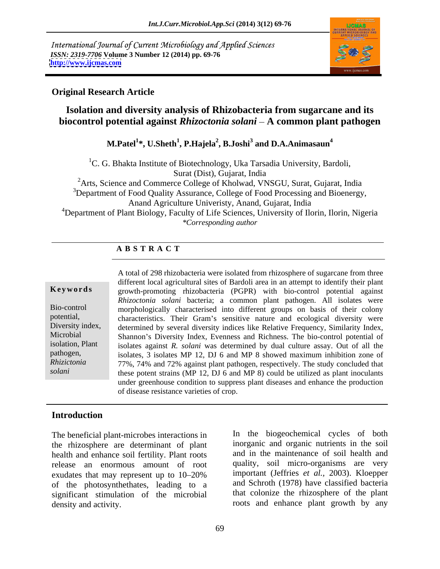International Journal of Current Microbiology and Applied Sciences *ISSN: 2319-7706* **Volume 3 Number 12 (2014) pp. 69-76 <http://www.ijcmas.com>**



### **Original Research Article**

# **Isolation and diversity analysis of Rhizobacteria from sugarcane and its biocontrol potential against** *Rhizoctonia solani* **– A common plant pathogen**

**M.Patel<sup>1</sup> \*, U.Sheth<sup>1</sup> , P.Hajela<sup>2</sup> , B.Joshi<sup>3</sup> and D.A.Animasaun<sup>4</sup>**

<sup>1</sup>C. G. Bhakta Institute of Biotechnology, Uka Tarsadia University, Bardoli, Surat (Dist), Gujarat, India

<sup>2</sup>Arts, Science and Commerce College of Kholwad, VNSGU, Surat, Gujarat, India

 $3$ Department of Food Quality Assurance, College of Food Processing and Bioenergy, Anand Agriculture Univeristy, Anand, Gujarat, India

<sup>4</sup>Department of Plant Biology, Faculty of Life Sciences, University of Ilorin, Ilorin, Nigeria *\*Corresponding author*

# **A B S T R A C T**

**Keywords** growth-promoting rhizobacteria (PGPR) with bio-control potential against Bio-control morphologically characterised into different groups on basis of their colony potential, characteristics. Their Gram's sensitive nature and ecological diversity were Diversity index, determined by several diversity indices like Relative Frequency, Similarity Index, Microbial Shannon's Diversity Index, Evenness and Richness. The bio-control potential of isolation, Plant isolates against  $R$ . *solani* was determined by dual culture assay. Out of all the pathogen, isolates, 3 isolates MP 12, DJ 6 and MP 8 showed maximum inhibition zone of *Rhizictonia*  77%, 74% and 72% against plant pathogen, respectively. The study concluded that solani these potent strains (MP 12, DJ 6 and MP 8) could be utilized as plant inoculants A total of 298 rhizobacteria were isolated from rhizosphere of sugarcane from three different local agricultural sites of Bardoli area in an attempt to identify their plant *Rhizoctonia solani* bacteria; a common plant pathogen. All isolates were under greenhouse condition to suppress plant diseases and enhance the production of disease resistance varieties of crop.

### **Introduction**

The beneficial plant-microbes interactions in the rhizosphere are determinant of plant health and enhance soil fertility. Plant roots release an enormous amount of root exudates that may represent up to  $10-20\%$ of the photosynthethates, leading to a significant stimulation of the microbial density and activity. The roots and enhance plant growth by any

In the biogeochemical cycles of both inorganic and organic nutrients in the soil and in the maintenance of soil health and quality, soil micro-organisms are very important (Jeffries *et al.,* 2003). Kloepper and Schroth (1978) have classified bacteria that colonize the rhizosphere of the plant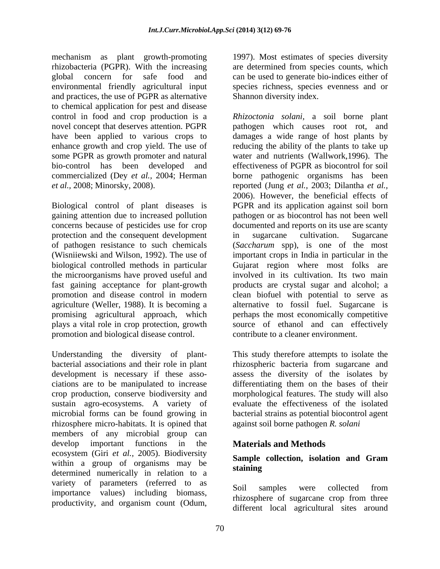mechanism as plant growth-promoting rhizobacteria (PGPR). With the increasing are determined from species counts, which global concern for safe food and can be used to generate bio-indices either of environmental friendly agricultural input species richness, species evenness and or and practices, the use of PGPR as alternative to chemical application for pest and disease some PGPR as growth promoter and natural bio-control has been developed and

protection and the consequent development in sugarcane cultivation. Sugarcane the microorganisms have proved useful and promotion and biological disease control.

Understanding the diversity of plant- This study therefore attempts to isolate the bacterial associations and their role in plant development is necessary if these asso- assess the diversity of the isolates by ciations are to be manipulated to increase crop production, conserve biodiversity and morphological features. The study will also sustain agro-ecosystems. A variety of evaluate the effectiveness of the isolated microbial forms can be found growing in bacterial strains as potential biocontrol agent rhizosphere micro-habitats. It is opined that members of any microbial group can develop important functions in the **Materials and Methods** ecosystem (Giri *et al.,* 2005). Biodiversity within a group of organisms may be **staining** determined numerically in relation to a variety of parameters (referred to as Soil samples were collected from importance values) including biomass, productivity, and organism count (Odum,

1997). Most estimates of species diversity Shannon diversity index.

control in food and crop production is a *Rhizoctonia solani,* a soil borne plant novel concept that deserves attention. PGPR pathogen which causes root rot, and have been applied to various crops to damages a wide range of host plants by enhance growth and crop yield. The use of reducing the ability of the plants to take up commercialized (Dey *et al.,* 2004; Herman borne pathogenic organisms has been *et al.,* 2008; Minorsky, 2008). reported (Jung *et al.,* 2003; Dilantha *et al.,* Biological control of plant diseases is PGPR and its application against soil born gaining attention due to increased pollution pathogen or as biocontrol has not been well concerns because of pesticides use for crop documented and reports on its use are scanty of pathogen resistance to such chemicals (*Saccharum* spp), is one of the most (Wisniiewski and Wilson, 1992). The use of important crops in India in particular in the biological controlled methods in particular Gujarat region where most folks are fast gaining acceptance for plant-growth products are crystal sugar and alcohol; a promotion and disease control in modern clean biofuel with potential to serve as agriculture (Weller, 1988). It is becoming a alternative to fossil fuel. Sugarcane is promising agricultural approach, which perhaps the most economically competitive plays a vital role in crop protection, growth source of ethanol and can effectively water and nutrients (Wallwork,1996). The effectiveness of PGPR as biocontrol for soil 2006). However, the beneficial effects of in sugarcane cultivation. Sugarcane involved in its cultivation. Its two main contribute to a cleaner environment.

> rhizospheric bacteria from sugarcane and differentiating them on the bases of their against soil borne pathogen *R. solani*

# **Materials and Methods**

## **Sample collection, isolation and Gram staining**

Soil samples were collected from rhizosphere of sugarcane crop from three different local agricultural sites around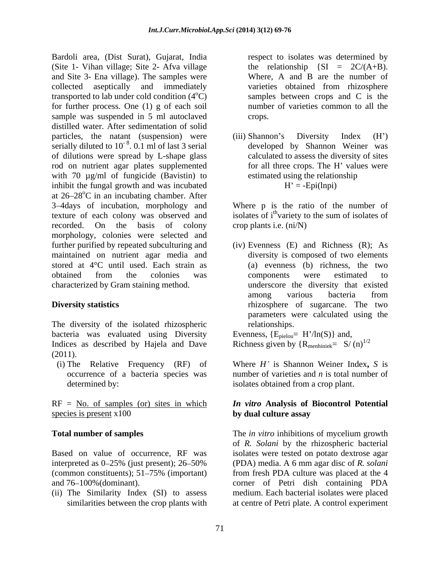Bardoli area, (Dist Surat), Gujarat, India (Site 1- Vihan village; Site 2- Afva village and Site 3- Ena village). The samples were collected aseptically and immediately transported to lab under cold condition  $(4^{\circ}C)$ for further process. One (1) g of each soil sample was suspended in 5 ml autoclaved crops. distilled water. After sedimentation of solid particles, the natant (suspension) were (iii) Shannon's Diversity Index (H') serially diluted to  $10^{-8}$ . 0.1 ml of last 3 serial of dilutions were spread by L-shape glass rod on nutrient agar plates supplemented with 70 µg/ml of fungicide (Bavistin) to inhibit the fungal growth and was incubated  $H' = -Epi(lnpi)$ at  $26 - 28$ <sup>o</sup>C in an incubating chamber. After 3 4days of incubation, morphology and Where p is the ratio of the number of texture of each colony was observed and isolates of  $i<sup>th</sup>$  variety to the sum of isolates of recorded. On the basis of colony crop plants i.e. (ni/N) morphology, colonies were selected and further purified by repeated subculturing and (iv) Evenness (E) and Richness (R); As maintained on nutrient agar media and stored at 4°C until used. Each strain as obtained from the colonies was

The diversity of the isolated rhizospheric bacteria was evaluated using Diversity Evenness, {E<sub>pielou</sub> = H'/ln(S)} and, Indices as described by Hajela and Dave Richness given by  ${R_{\text{menhinie}} = S/(n)^{1/2}}$  $(2011).$ 

respect to isolates was determined by the relationship  $\{SI = 2C/(A+B)\}.$ Where, A and B are the number of varieties obtained from rhizosphere samples between crops and C is the number of varieties common to all the crops.

(iii) Shannon's Diversity Index (H') developed by Shannon Weiner was calculated to assess the diversity of sites for all three crops. The H' values were estimated using the relationship  $H' = -Epi(lnpi)$ 

variety to the sum of isolates of crop plants i.e. (ni/N)

characterized by Gram staining method. underscore the diversity that existed **Diversity statistics rhizosphere** of sugarcane. The two diversity is composed of two elements (a) evenness (b) richness, the two components were estimated to among various bacteria from parameters were calculated using the relationships.

Evenness,  $\{E_{\text{pielou}}=H'/\ln(S)\}\$  and,

(i) The Relative Frequency (RF) of Where *H* is Shannon Weiner Index**,** *S* is occurrence of a bacteria species was number of varieties and  $n$  is total number of determined by: isolates obtained from a crop plant.

### RF = No. of samples (or) sites in which *In vitro* **Analysis of Biocontrol Potential** species is present x100 by dual culture assay **by dual culture assay**

**Total number of samples** The *in vitro* inhibitions of mycelium growth Based on value of occurrence, RF was isolates were tested on potato dextrose agar interpreted as 0–25% (just present); 26–50% (PDA) media. A 6 mm agar disc of *R. solani* (common constituents); 51 75% (important) from fresh PDA culture was placed at the 4 and 76 100%(dominant). corner of Petri dish containing PDA (ii) The Similarity Index (SI) to assess medium. Each bacterial isolates were placed similarities between the crop plants with at centre of Petri plate. A control experimentof *R. Solani* by the rhizospheric bacterial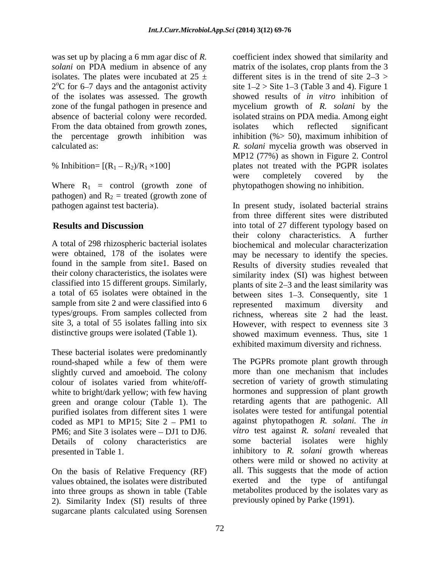isolates. The plates were incubated at  $25 \pm$  $2^{\circ}$ C for 6–7 days and the antagonist activity From the data obtained from growth zones, isolates which reflected significant the percentage growth inhibition was inhibition  $(\% > 50)$ , maximum inhibition of

Where  $R_1$  = control (growth zone of pathogen) and  $R_2$  = treated (growth zone of

sample from site 2 and were classified into 6 represented maximum diversity and

These bacterial isolates were predominantly round-shaped while a few of them were slightly curved and amoeboid. The colony white to bright/dark yellow; with few having green and orange colour (Table 1). The purified isolates from different sites 1 were PM6; and Site 3 isolates were  $-$  DJ1 to DJ6. *vitro* test against R. *solani* revealed that Details of colony characteristics are some bacterial isolates were highly Details of colony characteristics are some

On the basis of Relative Frequency (RF) values obtained, the isolates were distributed into three groups as shown in table (Table 2). Similarity Index (SI) results of three sugarcane plants calculated using Sorensen

was set up by placing a 6 mm agar disc of *R.*  coefficient index showed that similarity and *solani* on PDA medium in absence of any matrix of the isolates, crop plants from the 3  $2^{\circ}$ C for 6–7 days and the antagonist activity site 1–2 > Site 1–3 (Table 3 and 4). Figure 1 of the isolates was assessed. The growth showed results of *in vitro* inhibition of zone of the fungal pathogen in presence and mycelium growth of *R. solani* by the absence of bacterial colony were recorded. isolated strains on PDA media. Among eight calculated as: *R. solani* mycelia growth was observed in % Inhibition=  $[(R_1 - R_2)/R_1 \times 100]$  plates not treated with the PGPR isolates different sites is in the trend of site  $2-3$ isolates which reflected significant inhibition (%> 50), maximum inhibition of MP12 (77%) as shown in Figure 2. Control were completely covered by the phytopathogen showing no inhibition.

pathogen against test bacteria). In present study, isolated bacterial strains **Results and Discussion** into total of 27 different typology based on A total of 298 rhizospheric bacterial isolates biochemical and molecular characterization were obtained, 178 of the isolates were may be necessary to identify the species. found in the sample from site1. Based on Results of diversity studies revealed that their colony characteristics, the isolates were similarity index (SI) was highest between classified into 15 different groups. Similarly, plants of site 2–3 and the least similarity was a total of 65 isolates were obtained in the between sites 1–3. Consequently, site 1 types/groups. From samples collected from richness, whereas site 2 had the least. site 3, a total of 55 isolates falling into six However, with respect to evenness site 3 distinctive groups were isolated (Table 1). Showed maximum evenness. Thus, site 1 from three different sites were distributed their colony characteristics. A further represented maximum diversity and exhibited maximum diversity and richness.

colour of isolates varied from white/off coded as MP1 to MP15; Site 2 PM1 to against phytopathogen *R. solani.* The *in*  presented in Table 1. inhibitory to *R. solani* growth whereas The PGPRs promote plant growth through more than one mechanism that includes secretion of variety of growth stimulating hormones and suppression of plant growth retarding agents that are pathogenic. All isolates were tested for antifungal potential *vitro* test against *R. solani* revealed that some bacterial isolates were highly others were mild or showed no activity at all. This suggests that the mode of action exerted and the type of antifungal metabolites produced by the isolates vary as previously opined by Parke (1991).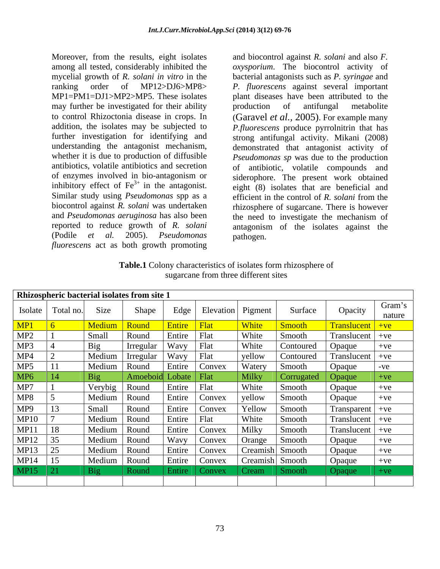Moreover, from the results, eight isolates and biocontrol against *R. solani* and also *F.* among all tested, considerably inhibited the *oxysporium*. The biocontrol activity of mycelial growth of *R. solani in vitro* in the bacterial antagonists such as *P. syringae* and ranking order of MP12>DJ6>MP8> *P. fluorescens* against several important MP1=PM1=DJ1>MP2>MP5. These isolates plant diseases have been attributed to the may further be investigated for their ability broduction of antifungal metabolite to control Rhizoctonia disease in crops. In (Garavel *et al.,* 2005). For example many addition, the isolates may be subjected to *P.fluorescens* produce pyrrolnitrin that has further investigation for identifying and strong antifungal activity. Mikani (2008) understanding the antagonist mechanism, demonstrated that antagonist activity of whether it is due to production of diffusible *Pseudomonas sp* was due to the production antibiotics, volatile antibiotics and secretion of antibiotic, volatile compounds and of enzymes involved in bio-antagonism or siderophore. The present work obtained inhibitory effect of  $Fe<sup>3+</sup>$  in the antagonist. Similar study using *Pseudomonas* spp as a efficient in the control of R, solani from the biocontrol against *R. solani* was undertaken rhizosphere of sugarcane. There is however and *Pseudomonas aeruginosa* has also been the need to investigate the mechanism of reported to reduce growth of *R. solani* antagonism of the isolates against the (Podile *et al.* 2005). *Pseudomonas fluorescens* act as both growth promoting

production of antifungal metabolite eight (8) isolates that are beneficial and efficient in the control of *R. solani* from the pathogen.

| es form rhizosphere of<br>I able.<br>characteristics.<br>.olony -<br>of isolates |  |
|----------------------------------------------------------------------------------|--|
| differ<br>sugarcane from three<br>ant sites                                      |  |

|             |                     | <b>Rhizospheric bacterial isolates from site 1</b> |            |               |                            |                   |                   |                                 |                  |
|-------------|---------------------|----------------------------------------------------|------------|---------------|----------------------------|-------------------|-------------------|---------------------------------|------------------|
|             | Isolate   Total no. | Size                                               | Shape      |               | Edge   Elevation   Pigment |                   | Surface           | Opacity                         | Gram's<br>nature |
| MP1         |                     |                                                    | Round      | Entire Flat   |                            | <b>White</b>      | Smooth            | Translucent +ve                 |                  |
| MP2         |                     | Small                                              | Round      | Entire   Flat |                            | White             | Smooth            | Translucent                     | $+ve$            |
| MP3         |                     | B1g                                                | Irregular  | Wavy Flat     |                            | White             | Contoured         | <b>Opaque</b>                   | $+ve$            |
| MP4         |                     | Medium                                             | Irregular  | Wavy Flat     |                            | yellow            | Contoured         | Translucent $ +ve$              |                  |
| MP5         |                     | Medium                                             | Round      | Entire        | Convex                     | Watery            | ∣ Smooth          | <u>Opaque</u>                   | $-ve$            |
| MP6         |                     |                                                    | Amoeboid . |               | Lobate $ $ Flat            | <b>Milky</b>      | Corrugated Opaque |                                 | $+ve$            |
| MP7         |                     | Verybig                                            | Round      | Entire   Flat |                            | White             | Smooth            | Opaque                          | $+ve$            |
| MP8         |                     | Medium                                             | Round      | Entire        | Convex                     | yellow            | Smooth            | Opaque                          | $+ve$            |
| MP9         |                     | Small                                              | Round      | Entire        | Convex                     | Yellow            | Smooth            | Transparent                     | $+ve$            |
| <b>MP10</b> |                     | Medium                                             | Round      | Entire        | $ $ Flat                   | White             | Smooth            | $\vert$ Translucent $\vert$ +ve |                  |
| <b>MP11</b> |                     | Medium                                             | Round      | Entire        | Convex                     | Milky             | Smooth            | $\vert$ Translucent $\vert$ +ve |                  |
| MP12        | $\bigcap$           | Medium                                             | Round      |               | Wavy Convex                | Orange            | Smooth            | Opaque                          | $+ve$            |
| MP13        |                     | Medium                                             | Round      |               | Entire   Convex            | Creamish Smooth   |                   | Opaque                          | $+ve$            |
| MP14        | 15                  | Medium                                             | l Round    | Entire        | Convex                     | Creamish   Smooth |                   | Opaque                          | $+ve$            |
| AP15        |                     |                                                    | Round      |               | Convex                     | Cream             | - Smooth-         | <b>Opaque</b>                   | $+ve$            |
|             |                     |                                                    |            |               |                            |                   |                   |                                 |                  |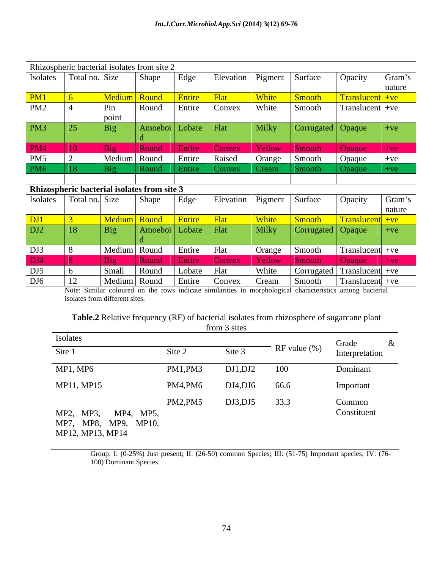| Rhizospheric bacterial isolates from site 2        |                  |                |                |                             |        |                               |                     |                                         |        |
|----------------------------------------------------|------------------|----------------|----------------|-----------------------------|--------|-------------------------------|---------------------|-----------------------------------------|--------|
| Isolates   Total no. Size                          |                  |                | Shape          | Edge                        |        | Elevation   Pigment   Surface |                     | Opacity                                 | Gram's |
|                                                    |                  |                |                |                             |        |                               |                     |                                         | nature |
| PM1                                                |                  |                | Medium Round   |                             |        | White                         | <b>Smooth</b>       | $\sqrt{\text{Translacent} + \text{ve}}$ |        |
| PM <sub>2</sub>                                    |                  | Pin            | Round          | Entire                      | Convex | White                         | Smooth              | Translucent +ve                         |        |
|                                                    |                  | noint          |                |                             |        |                               |                     |                                         |        |
| PM3                                                | $\vert 25 \vert$ | Big            |                | Amoeboi Lobate Flat         |        | Milky                         | Corrugated   Opaque |                                         | $+ve$  |
|                                                    |                  |                |                |                             |        |                               |                     |                                         |        |
| PM4                                                | $\vert$ 10       | $  \text{Big}$ | Round          | 1 Entire                    | Convex | Yellow                        | Smooth              | $\sqrt{2}$ Opaque                       | $+ve$  |
| PM5                                                |                  |                | Medium Round   | Entire                      | Raised | Orange                        | Smooth              | <b>Opaque</b>                           | $+ve$  |
|                                                    |                  |                |                |                             | Convex | Cream                         | smooth-             | <b>Opaque</b>                           | $+ve$  |
|                                                    |                  |                |                |                             |        |                               |                     |                                         |        |
| <b>Rhizospheric bacterial isolates from site 3</b> |                  |                |                |                             |        |                               |                     |                                         |        |
| Isolates   Total no. Size                          |                  |                | <b>Shape</b>   | Edge                        |        | Elevation   Pigment   Surface |                     | Opacity                                 | Gram's |
|                                                    |                  |                |                |                             |        |                               |                     |                                         | nature |
| DJ1                                                | $\blacksquare$ 3 |                | Medium Round   | $\vert$ Entire $\vert$ Flat |        | White                         | Smooth              | $\sqrt{\frac{1}{2}$ Translucent + $ve$  |        |
| DJ2                                                | $\sqrt{18}$      | Big            |                | Amoeboi Lobate Flat         |        | <b>Milky</b>                  | Corrugated   Opaque |                                         | $+ve$  |
|                                                    |                  |                |                |                             |        |                               |                     |                                         |        |
| DJ3                                                |                  |                | Medium Round   | Entire                      | Flat   | Orange                        | Smooth              | $\vert$ Translucent +ve                 |        |
| $\overline{\text{M}}$                              |                  |                | Round          | <b>Entire</b>               | Convex | <b>Yellow</b>                 | Smooth              | $\sqrt{\frac{2}{1}}$ Opaque             | $+ve$  |
| DJ5                                                |                  | Small          | Round          | Lobate   Flat               |        | White                         | Corrugated          | $\vert$ Translucent + ve                |        |
| DJ6                                                |                  |                | Medium   Round | Entire                      | Convex | Cream                         | Smooth              | $\Gamma$ Translucent + ve               |        |
|                                                    |                  |                |                |                             |        |                               |                     |                                         |        |

Note: Similar coloured on the rows indicate similarities in morphological characteristics among bacterial isolates from different sites.

### **Table.2** Relative frequency (RF) of bacterial isolates from rhizosphere of sugarcane plant from 3 sites

| <u> De Carlos de Carlos de Carlos de Carlos de Carlos de Carlos de Carlos de Carlos de Carlos de Carlos de Carlos de Ca</u><br>Isolates |         |         |                 | Grade          |
|-----------------------------------------------------------------------------------------------------------------------------------------|---------|---------|-----------------|----------------|
| Site 1                                                                                                                                  | Site 2  | Site 3  | RF value $(\%)$ | Interpretation |
| MP1, MP6                                                                                                                                | PM1,PM3 | DJ1,DJ2 | 100             | Dominant       |
| MP11, MP15                                                                                                                              | PM4,PM6 | DJ4,DJ6 | 66.6            | Important      |
|                                                                                                                                         | PM2,PM5 | DJ3,DJ5 | 33.3            | Common         |
| MP2, MP3, MP4, MP5,                                                                                                                     |         |         |                 | Constituent    |
| MP7, MP8, MP9, MP10,<br>MP12, MP13, MP14                                                                                                |         |         |                 |                |

Group: I: (0-25%) Just present; II: (26-50) common Species; III: (51-75) Important species; IV: (76- 100) Dominant Species.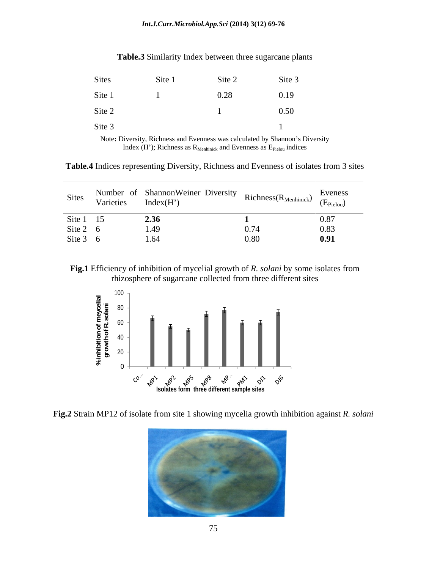| Sites<br>Site 1 | Site 2 | Site 3 |
|-----------------|--------|--------|
| Site 1          | 0.28   | 0.19   |
| Site 2          |        | 0.50   |
| Site 3          |        |        |

**Table.3** Similarity Index between three sugarcane plants

Note: Diversity, Richness and Evenness was calculated by Shannon's Diversity Index (H'); Richness as  $R_{\text{Menhinick}}$  and Evenness as  $E_{\text{Pielou}}$  indices

**Table.4** Indices representing Diversity, Richness and Evenness of isolates from 3 sites

**Fig.1** Efficiency of inhibition of mycelial growth of *R. solani* by some isolates from rhizosphere of sugarcane collected from three different sites